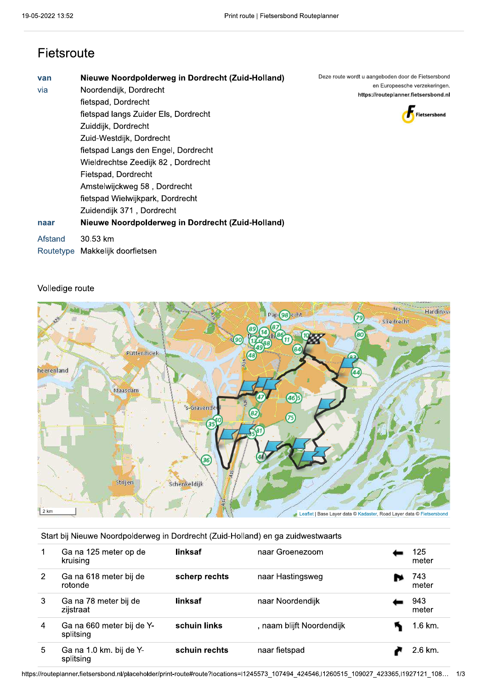## Fietsroute

| Fietsroute         |                                                                                                                                                                                                                                                                                                                                                                                                                                                         |                                                                                                                                             |
|--------------------|---------------------------------------------------------------------------------------------------------------------------------------------------------------------------------------------------------------------------------------------------------------------------------------------------------------------------------------------------------------------------------------------------------------------------------------------------------|---------------------------------------------------------------------------------------------------------------------------------------------|
| van<br>via<br>naar | Nieuwe Noordpolderweg in Dordrecht (Zuid-Holland)<br>Noordendijk, Dordrecht<br>fietspad, Dordrecht<br>fietspad langs Zuider Els, Dordrecht<br>Zuiddijk, Dordrecht<br>Zuid-Westdijk, Dordrecht<br>fietspad Langs den Engel, Dordrecht<br>Wieldrechtse Zeedijk 82, Dordrecht<br>Fietspad, Dordrecht<br>Amstelwijckweg 58, Dordrecht<br>fietspad Wielwijkpark, Dordrecht<br>Zuidendijk 371, Dordrecht<br>Nieuwe Noordpolderweg in Dordrecht (Zuid-Holland) | Deze route wordt u aangeboden door de Fietsersbond<br>en Europeesche verzekeringen.<br>https://routeplanner.fietsersbond.nl<br>Fietsersbond |
| Afstand            | 30.53 km<br>Routetype Makkelijk doorfietsen                                                                                                                                                                                                                                                                                                                                                                                                             |                                                                                                                                             |



### Volledige route



#### Start bij Nieuwe Noordpolderweg in Dordrecht (Zuid-Holland) en ga zuidwestwaarts

|                | Ga na 125 meter op de<br>kruising      | linksaf       | naar Groenezoom           | 125<br>meter |
|----------------|----------------------------------------|---------------|---------------------------|--------------|
| $\overline{2}$ | Ga na 618 meter bij de<br>rotonde      | scherp rechts | naar Hastingsweg          | 743<br>meter |
| 3              | Ga na 78 meter bij de<br>zijstraat     | linksaf       | naar Noordendijk          | 943<br>meter |
| 4              | Ga na 660 meter bij de Y-<br>splitsing | schuin links  | , naam blijft Noordendijk | 1.6 km.      |
| 5              | Ga na 1.0 km. bij de Y-<br>splitsing   | schuin rechts | naar fietspad             | 2.6 km.      |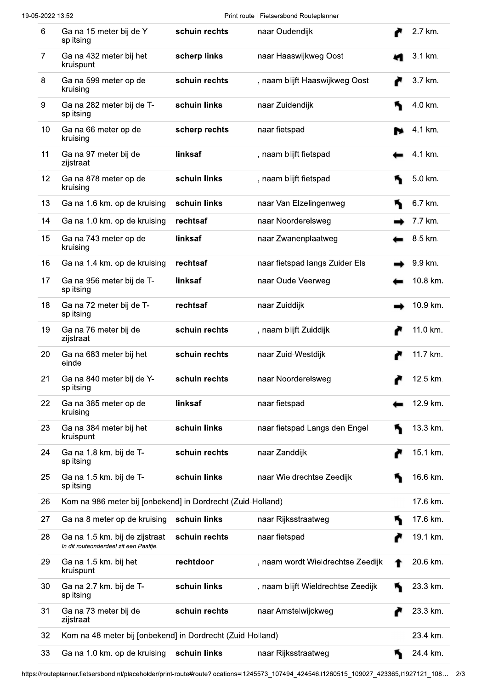Print route | Fietsersbond Routeplanner

| 6  | Ga na 15 meter bij de Y-<br>splitsing                                    | schuin rechts | naar Oudendijk                     |  | 2.7 km.  |  |
|----|--------------------------------------------------------------------------|---------------|------------------------------------|--|----------|--|
| 7  | Ga na 432 meter bij het<br>kruispunt                                     | scherp links  | naar Haaswijkweg Oost              |  | 3.1 km.  |  |
| 8  | Ga na 599 meter op de<br>kruising                                        | schuin rechts | , naam blijft Haaswijkweg Oost     |  | 3.7 km.  |  |
| 9  | Ga na 282 meter bij de T-<br>splitsing                                   | schuin links  | naar Zuidendijk                    |  | 4.0 km.  |  |
| 10 | Ga na 66 meter op de<br>kruising                                         | scherp rechts | naar fietspad                      |  | 4.1 km.  |  |
| 11 | Ga na 97 meter bij de<br>zijstraat                                       | linksaf       | , naam blijft fietspad             |  | 4.1 km.  |  |
| 12 | Ga na 878 meter op de<br>kruising                                        | schuin links  | , naam blijft fietspad             |  | 5.0 km.  |  |
| 13 | Ga na 1.6 km. op de kruising                                             | schuin links  | naar Van Elzelingenweg             |  | 6.7 km.  |  |
| 14 | Ga na 1.0 km. op de kruising                                             | rechtsaf      | naar Noorderelsweg                 |  | 7.7 km.  |  |
| 15 | Ga na 743 meter op de<br>kruising                                        | linksaf       | naar Zwanenplaatweg                |  | 8.5 km.  |  |
| 16 | Ga na 1.4 km. op de kruising                                             | rechtsaf      | naar fietspad langs Zuider Els     |  | 9.9 km.  |  |
| 17 | Ga na 956 meter bij de T-<br>splitsing                                   | linksaf       | naar Oude Veerweg                  |  | 10.8 km. |  |
| 18 | Ga na 72 meter bij de T-<br>splitsing                                    | rechtsaf      | naar Zuiddijk                      |  | 10.9 km. |  |
| 19 | Ga na 76 meter bij de<br>zijstraat                                       | schuin rechts | , naam blijft Zuiddijk             |  | 11.0 km. |  |
| 20 | Ga na 683 meter bij het<br>einde                                         | schuin rechts | naar Zuid-Westdijk                 |  | 11.7 km. |  |
| 21 | Ga na 840 meter bij de Y-<br>splitsing                                   | schuin rechts | naar Noorderelsweg                 |  | 12.5 km. |  |
| 22 | Ga na 385 meter op de<br>kruising                                        | linksaf       | naar fietspad                      |  | 12.9 km. |  |
| 23 | Ga na 384 meter bij het<br>kruispunt                                     | schuin links  | naar fietspad Langs den Engel      |  | 13.3 km. |  |
| 24 | Ga na 1.8 km. bij de T-<br>splitsing                                     | schuin rechts | naar Zanddijk                      |  | 15.1 km. |  |
| 25 | Ga na 1.5 km. bij de T-<br>splitsing                                     | schuin links  | naar Wieldrechtse Zeedijk          |  | 16.6 km. |  |
| 26 | Kom na 986 meter bij [onbekend] in Dordrecht (Zuid-Holland)              |               |                                    |  | 17.6 km. |  |
| 27 | Ga na 8 meter op de kruising                                             | schuin links  | naar Rijksstraatweg                |  | 17.6 km. |  |
| 28 | Ga na 1.5 km. bij de zijstraat<br>In dit routeonderdeel zit een Paaltje. | schuin rechts | naar fietspad                      |  | 19.1 km. |  |
| 29 | Ga na 1.5 km. bij het<br>kruispunt                                       | rechtdoor     | , naam wordt Wieldrechtse Zeedijk  |  | 20.6 km. |  |
| 30 | Ga na 2.7 km. bij de T-<br>splitsing                                     | schuin links  | , naam blijft Wieldrechtse Zeedijk |  | 23.3 km. |  |
| 31 | Ga na 73 meter bij de<br>zijstraat                                       | schuin rechts | naar Amstelwijckweg                |  | 23.3 km. |  |
| 32 | Kom na 48 meter bij [onbekend] in Dordrecht (Zuid-Holland)<br>23.4 km.   |               |                                    |  |          |  |
| 33 | Ga na 1.0 km. op de kruising                                             | schuin links  | naar Rijksstraatweg                |  | 24.4 km. |  |

https://routeplanner.fietsersbond.nl/placeholder/print-route#route?locations=l1245573\_107494\_424546,l1260515\_109027\_423365,l1927121\_108... 2/3